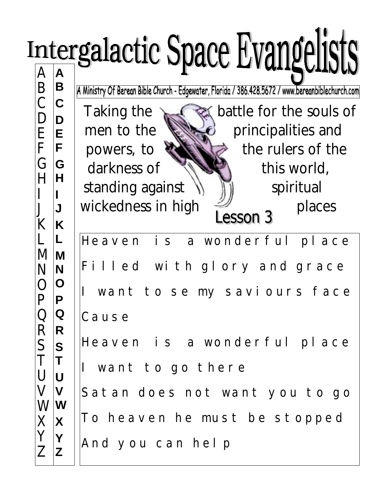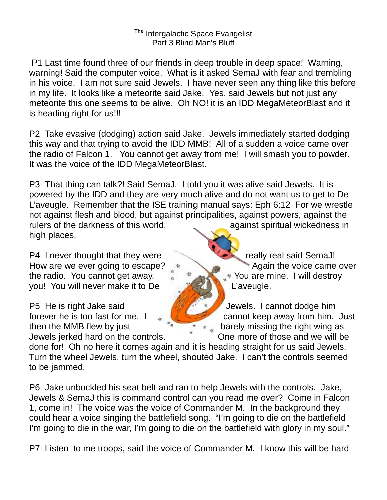## **The** Intergalactic Space Evangelist Part 3 Blind Man's Bluff

 P1 Last time found three of our friends in deep trouble in deep space! Warning, warning! Said the computer voice. What is it asked SemaJ with fear and trembling in his voice. I am not sure said Jewels. I have never seen any thing like this before in my life. It looks like a meteorite said Jake. Yes, said Jewels but not just any meteorite this one seems to be alive. Oh NO! it is an IDD MegaMeteorBlast and it is heading right for us!!!

P2 Take evasive (dodging) action said Jake. Jewels immediately started dodging this way and that trying to avoid the IDD MMB! All of a sudden a voice came over the radio of Falcon 1. You cannot get away from me! I will smash you to powder. It was the voice of the IDD MegaMeteorBlast.

P3 That thing can talk?! Said SemaJ. I told you it was alive said Jewels. It is powered by the IDD and they are very much alive and do not want us to get to De L'aveugle. Remember that the ISE training manual says: Eph 6:12 For we wrestle not against flesh and blood, but against principalities, against powers, against the rulers of the darkness of this world, against spiritual wickedness in high places.

P4 I never thought that they were really really real said SemaJ! How are we ever going to escape? All the voice came over the radio. You cannot get away.  $\int_{0}^{\pi}$   $\pi$   $\sim$  You are mine. I will destroy you! You will never make it to De L'aveugle.

P5 He is right Jake said **Jewels. I cannot dodge him** then the MMB flew by just  $\begin{array}{ccc} \hline \end{array}$   $\begin{array}{ccc} \hline \end{array}$  barely missing the right wing as

forever he is too fast for me.  $\Box$ Jewels jerked hard on the controls. One more of those and we will be

done for! Oh no here it comes again and it is heading straight for us said Jewels. Turn the wheel Jewels, turn the wheel, shouted Jake. I can't the controls seemed to be jammed.

P6 Jake unbuckled his seat belt and ran to help Jewels with the controls. Jake, Jewels & SemaJ this is command control can you read me over? Come in Falcon 1, come in! The voice was the voice of Commander M. In the background they could hear a voice singing the battlefield song. "I'm going to die on the battlefield I'm going to die in the war, I'm going to die on the battlefield with glory in my soul."

P7 Listen to me troops, said the voice of Commander M. I know this will be hard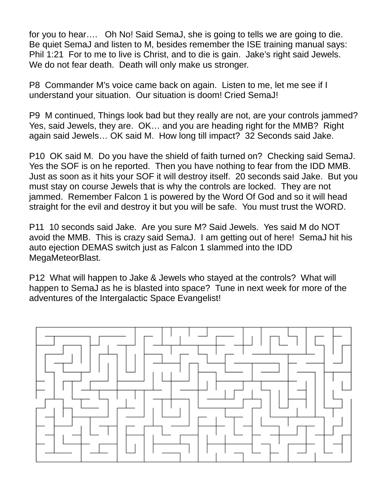for you to hear…. Oh No! Said SemaJ, she is going to tells we are going to die. Be quiet SemaJ and listen to M, besides remember the ISE training manual says: Phil 1:21 For to me to live is Christ, and to die is gain. Jake's right said Jewels. We do not fear death. Death will only make us stronger.

P8 Commander M's voice came back on again. Listen to me, let me see if I understand your situation. Our situation is doom! Cried SemaJ!

P9 M continued, Things look bad but they really are not, are your controls jammed? Yes, said Jewels, they are. OK… and you are heading right for the MMB? Right again said Jewels… OK said M. How long till impact? 32 Seconds said Jake.

P10 OK said M. Do you have the shield of faith turned on? Checking said SemaJ. Yes the SOF is on he reported. Then you have nothing to fear from the IDD MMB. Just as soon as it hits your SOF it will destroy itself. 20 seconds said Jake. But you must stay on course Jewels that is why the controls are locked. They are not jammed. Remember Falcon 1 is powered by the Word Of God and so it will head straight for the evil and destroy it but you will be safe. You must trust the WORD.

P11 10 seconds said Jake. Are you sure M? Said Jewels. Yes said M do NOT avoid the MMB. This is crazy said SemaJ. I am getting out of here! SemaJ hit his auto ejection DEMAS switch just as Falcon 1 slammed into the IDD MegaMeteorBlast.

P12 What will happen to Jake & Jewels who stayed at the controls? What will happen to SemaJ as he is blasted into space? Tune in next week for more of the adventures of the Intergalactic Space Evangelist!

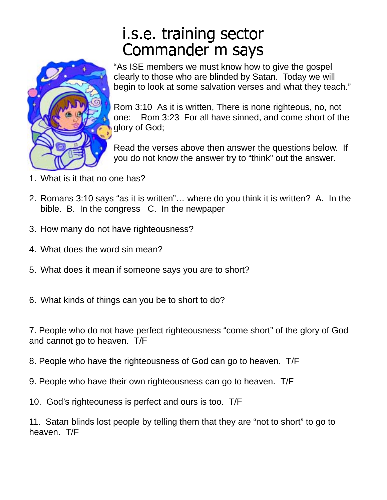## i.s.e. training sector Commander m says



"As ISE members we must know how to give the gospel clearly to those who are blinded by Satan. Today we will begin to look at some salvation verses and what they teach."

Rom 3:10 As it is written, There is none righteous, no, not one: Rom 3:23 For all have sinned, and come short of the glory of God;

Read the verses above then answer the questions below. If you do not know the answer try to "think" out the answer.

- 1. What is it that no one has?
- 2. Romans 3:10 says "as it is written"… where do you think it is written? A. In the bible. B. In the congress C. In the newpaper
- 3. How many do not have righteousness?
- 4. What does the word sin mean?
- 5. What does it mean if someone says you are to short?
- 6. What kinds of things can you be to short to do?

7. People who do not have perfect righteousness "come short" of the glory of God and cannot go to heaven. T/F

- 8. People who have the righteousness of God can go to heaven. T/F
- 9. People who have their own righteousness can go to heaven. T/F
- 10. God's righteouness is perfect and ours is too. T/F

11. Satan blinds lost people by telling them that they are "not to short" to go to heaven. T/F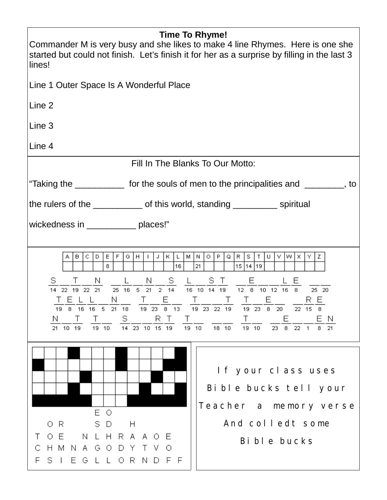| <b>Time To Rhyme!</b><br>Commander M is very busy and she likes to make 4 line Rhymes. Here is one she<br>started but could not finish. Let's finish it for her as a surprise by filling in the last 3<br>lines!                                                                                                                                                                                                                                                                                                                                                                                                                                                                                                      |
|-----------------------------------------------------------------------------------------------------------------------------------------------------------------------------------------------------------------------------------------------------------------------------------------------------------------------------------------------------------------------------------------------------------------------------------------------------------------------------------------------------------------------------------------------------------------------------------------------------------------------------------------------------------------------------------------------------------------------|
| Line 1 Outer Space Is A Wonderful Place                                                                                                                                                                                                                                                                                                                                                                                                                                                                                                                                                                                                                                                                               |
| Line 2                                                                                                                                                                                                                                                                                                                                                                                                                                                                                                                                                                                                                                                                                                                |
| Line 3                                                                                                                                                                                                                                                                                                                                                                                                                                                                                                                                                                                                                                                                                                                |
| Line 4                                                                                                                                                                                                                                                                                                                                                                                                                                                                                                                                                                                                                                                                                                                |
| Fill In The Blanks To Our Motto:                                                                                                                                                                                                                                                                                                                                                                                                                                                                                                                                                                                                                                                                                      |
| "Taking the ______________ for the souls of men to the principalities and _________, to                                                                                                                                                                                                                                                                                                                                                                                                                                                                                                                                                                                                                               |
| the rulers of the _____________ of this world, standing ___________ spiritual                                                                                                                                                                                                                                                                                                                                                                                                                                                                                                                                                                                                                                         |
| wickedness in _____________ places!"                                                                                                                                                                                                                                                                                                                                                                                                                                                                                                                                                                                                                                                                                  |
| F<br>M N<br>$\circ$   P<br>Q   R   S   T  <br>lw Ix I<br>D<br>E<br>$G \mid H \mid$<br>$\mathbf{I}$<br>J<br>K L <br>U.<br>V I<br>ΥI<br>Z.<br>в<br>C<br>21<br>8<br>16<br>15 14 19<br>$\frac{S}{14} \frac{T}{22} \frac{N}{19} \frac{L}{22} \frac{L}{21} \frac{N}{25} \frac{S}{16} \frac{S}{5} \frac{L}{21} \frac{S}{14} \frac{L}{16} \frac{S}{10} \frac{S}{14} \frac{L}{19} \frac{E}{12} \frac{L}{12} \frac{E}{6} \frac{L}{10} \frac{L}{12} \frac{E}{16} \frac{E}{25} \frac{1}{20}$<br><u> TELL N I TE I T T T E RE</u><br>19 8 16 16 5 21 18 19 23 8 13 19 23 22 19 19 23 8 20 22 15 8<br>S in<br>RT T<br>E EN<br>$\top$<br>$\top$<br>N.<br>19 10 14 23 10 15 19 19 10<br>18 10  19 10  23  8  22  1  8  21<br>21 10 19 |
| If your class uses<br>Bible bucks tell your<br>Teacher a memory verse<br>E O<br>And colledt some<br>SD.<br>-R<br>H<br>0.<br>N L H R A A O E<br>OE.<br>Τ<br>Bi bl e bucks<br>C H M N A G O D Y T V O<br>F S I E G L L O R N D F F                                                                                                                                                                                                                                                                                                                                                                                                                                                                                      |